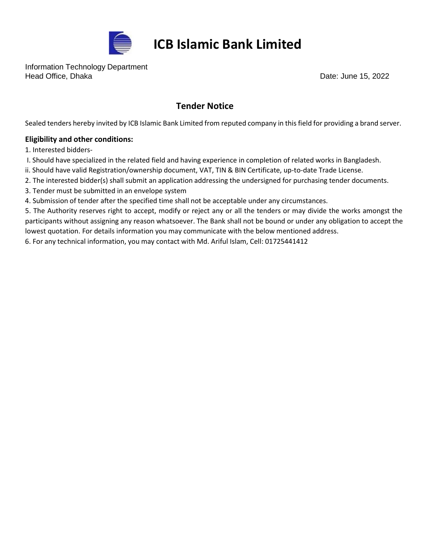

## **ICB Islamic Bank Limited**

Information Technology Department Head Office, Dhaka Date: June 15, 2022

## **Tender Notice**

Sealed tenders hereby invited by ICB Islamic Bank Limited from reputed company in this field for providing a brand server.

## **Eligibility and other conditions:**

1. Interested bidders-

- I. Should have specialized in the related field and having experience in completion of related works in Bangladesh.
- ii. Should have valid Registration/ownership document, VAT, TIN & BIN Certificate, up-to-date Trade License.
- 2. The interested bidder(s) shall submit an application addressing the undersigned for purchasing tender documents.
- 3. Tender must be submitted in an envelope system
- 4. Submission of tender after the specified time shall not be acceptable under any circumstances.

5. The Authority reserves right to accept, modify or reject any or all the tenders or may divide the works amongst the participants without assigning any reason whatsoever. The Bank shall not be bound or under any obligation to accept the lowest quotation. For details information you may communicate with the below mentioned address.

6. For any technical information, you may contact with Md. Ariful Islam, Cell: 01725441412